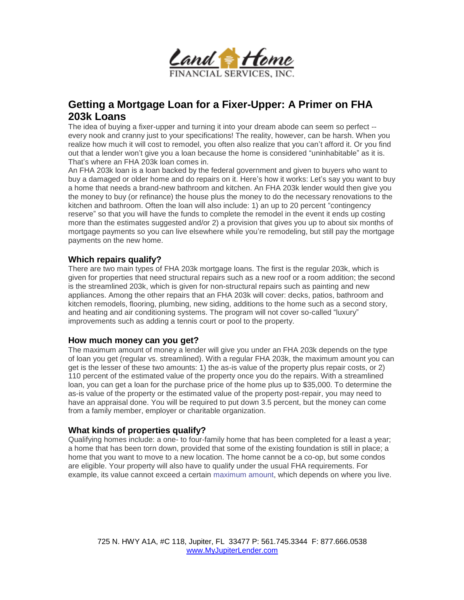

# **Getting a Mortgage Loan for a Fixer-Upper: A Primer on FHA 203k Loans**

The idea of buying a fixer-upper and turning it into your dream abode can seem so perfect - every nook and cranny just to your specifications! The reality, however, can be harsh. When you realize how much it will cost to remodel, you often also realize that you can't afford it. Or you find out that a lender won't give you a loan because the home is considered "uninhabitable" as it is. That's where an FHA 203k loan comes in.

An FHA 203k loan is a loan backed by the federal government and given to buyers who want to buy a damaged or older home and do repairs on it. Here's how it works: Let's say you want to buy a home that needs a brand-new bathroom and kitchen. An FHA 203k lender would then give you the money to buy (or refinance) the house plus the money to do the necessary renovations to the kitchen and bathroom. Often the loan will also include: 1) an up to 20 percent "contingency reserve" so that you will have the funds to complete the remodel in the event it ends up costing more than the estimates suggested and/or 2) a provision that gives you up to about six months of mortgage payments so you can live elsewhere while you're remodeling, but still pay the mortgage payments on the new home.

### **Which repairs qualify?**

There are two main types of FHA 203k mortgage loans. The first is the regular 203k, which is given for properties that need structural repairs such as a new roof or a room addition; the second is the streamlined 203k, which is given for non-structural repairs such as painting and new appliances. Among the other repairs that an FHA 203k will cover: decks, patios, bathroom and kitchen remodels, flooring, plumbing, new siding, additions to the home such as a second story, and heating and air conditioning systems. The program will not cover so-called "luxury" improvements such as adding a tennis court or pool to the property.

#### **How much money can you get?**

The maximum amount of money a lender will give you under an FHA 203k depends on the type of loan you get (regular vs. streamlined). With a regular FHA 203k, the maximum amount you can get is the lesser of these two amounts: 1) the as-is value of the property plus repair costs, or 2) 110 percent of the estimated value of the property once you do the repairs. With a streamlined loan, you can get a loan for the purchase price of the home plus up to \$35,000. To determine the as-is value of the property or the estimated value of the property post-repair, you may need to have an appraisal done. You will be required to put down 3.5 percent, but the money can come from a family member, employer or charitable organization.

#### **What kinds of properties qualify?**

Qualifying homes include: a one- to four-family home that has been completed for a least a year; a home that has been torn down, provided that some of the existing foundation is still in place; a home that you want to move to a new location. The home cannot be a co-op, but some condos are eligible. Your property will also have to qualify under the usual FHA requirements. For example, its value cannot exceed a certain maximum amount, which depends on where you live.